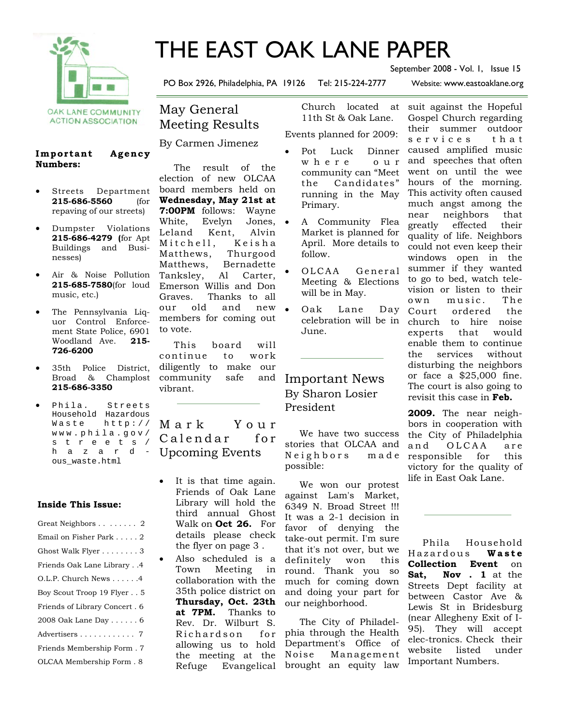

# THE EAST OAK LANE PAPER

PO Box 2926, Philadelphia, PA 19126 Tel: 215-224-2777 Website: www.eastoaklane.org

September 2008 - Vol. 1, Issue 15

**ACTION ASSOCIATION** 

#### Important Agency **Numbers:**

- Streets Department **215-686-5560** (for repaving of our streets)
- Dumpster Violations **215-686-4279 (**for Apt Buildings and Businesses)
- Air & Noise Pollution **215-685-7580**(for loud music, etc.)
- The Pennsylvania Liquor Control Enforcement State Police, 6901 Woodland Ave. **215- 726-6200**
- 35th Police District, Broad & Champlost **215-686-3350**
- Phila. Streets Household Hazardous Waste http:// www.phila.gov/ streets/ hazardous\_waste.html

#### **Inside This Issue:**

| Great Neighbors 2               |
|---------------------------------|
| Email on Fisher Park 2          |
| Ghost Walk Flyer 3              |
| Friends Oak Lane Library4       |
| $O.L.P.$ Church News $\ldots$ 4 |
| Boy Scout Troop 19 Flyer5       |
| Friends of Library Concert. 6   |
| 2008 Oak Lane Day 6             |
| Advertisers 7                   |
| Friends Membership Form. 7      |
| OLCAA Membership Form. 8        |

# May General Meeting Results

By Carmen Jimenez

 The result of the election of new OLCAA board members held on **Wednesday, May 21st at 7:00PM** follows: Wayne White, Evelyn Jones, • Leland Kent, Alvin Mitchell, Keisha Matthews, Thurgood Matthews, Bernadette Tanksley, Al Carter, Emerson Willis and Don Graves. Thanks to all our old and new members for coming out to vote.

 This board will continue to work diligently to make our community safe and vibrant.

## M a r k Y o u r Calendar for Upcoming Events

- It is that time again. Friends of Oak Lane Library will hold the third annual Ghost Walk on **Oct 26.** For details please check the flyer on page 3 .
- Also scheduled is a Town Meeting in collaboration with the 35th police district on **Thursday, Oct. 23th at 7PM.** Thanks to Rev. Dr. Wilburt S. Richardson for allowing us to hold the meeting at the Refuge Evangelical

Church located 11th St & Oak Lane.

Events planned for 2009:

- Pot Luck Dinner w h e r e o u r community can "Meet the Candidates" running in the May Primary.
- A Community Flea Market is planned for April. More details to follow.
- OLCAA General Meeting & Elections will be in May.
- Oak Lane Day June.

## Important News By Sharon Losier President

 We have two success stories that OLCAA and Neighbors made possible:

 We won our protest against Lam's Market, 6349 N. Broad Street !!! It was a 2-1 decision in favor of denying the take-out permit. I'm sure that it's not over, but we definitely won this round. Thank you so much for coming down and doing your part for our neighborhood.

 The City of Philadelphia through the Health Department's Office of Noise Management brought an equity law

celebration will be in church to hire noise at suit against the Hopeful Gospel Church regarding their summer outdoor s e r v i c e s t h a t caused amplified music and speeches that often went on until the wee hours of the morning. This activity often caused much angst among the near neighbors that greatly effected their quality of life. Neighbors could not even keep their windows open in the summer if they wanted to go to bed, watch television or listen to their own music. The Court ordered the experts that would enable them to continue the services without disturbing the neighbors or face a \$25,000 fine. The court is also going to revisit this case in **Feb.** 

> **2009.** The near neighbors in cooperation with the City of Philadelphia and OLCAA are responsible for this victory for the quality of life in East Oak Lane.

> Phila Household Hazardous **W a s t e Collection Event** on **Sat, Nov . 1** at the Streets Dept facility at between Castor Ave & Lewis St in Bridesburg (near Allegheny Exit of I-95). They will accept elec-tronics. Check their website listed under Important Numbers.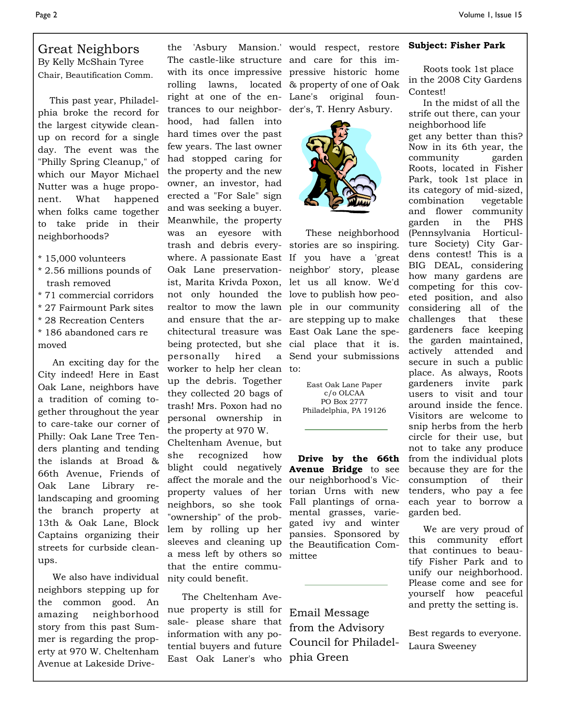#### Great Neighbors By Kelly McShain Tyree Chair, Beautification Comm.

 This past year, Philadelphia broke the record for the largest citywide cleanup on record for a single day. The event was the "Philly Spring Cleanup," of which our Mayor Michael Nutter was a huge proponent. What happened when folks came together to take pride in their neighborhoods?

- \* 15,000 volunteers
- \* 2.56 millions pounds of trash removed
- \* 71 commercial corridors
- \* 27 Fairmount Park sites
- \* 28 Recreation Centers
- \* 186 abandoned cars re moved

 An exciting day for the City indeed! Here in East Oak Lane, neighbors have a tradition of coming together throughout the year to care-take our corner of Philly: Oak Lane Tree Tenders planting and tending the islands at Broad & 66th Avenue, Friends of Oak Lane Library relandscaping and grooming the branch property at 13th & Oak Lane, Block Captains organizing their streets for curbside cleanups.

 We also have individual neighbors stepping up for the common good. An amazing neighborhood story from this past Summer is regarding the property at 970 W. Cheltenham Avenue at Lakeside Drive-

The castle-like structure and care for this imwith its once impressive pressive historic home rolling lawns, located & property of one of Oak right at one of the en-Lane's original fountrances to our neighbor-der's, T. Henry Asbury. hood, had fallen into hard times over the past few years. The last owner had stopped caring for the property and the new owner, an investor, had erected a "For Sale" sign and was seeking a buyer. Meanwhile, the property was an eyesore with trash and debris every-stories are so inspiring. where. A passionate East If you have a 'great Oak Lane preservation-neighbor' story, please ist, Marita Krivda Poxon, let us all know. We'd not only hounded the love to publish how peorealtor to mow the lawn ple in our community and ensure that the ar-are stepping up to make chitectural treasure was East Oak Lane the spebeing protected, but she cial place that it is. personally hired worker to help her clean to: up the debris. Together they collected 20 bags of trash! Mrs. Poxon had no personal ownership in the property at 970 W.

Cheltenham Avenue, but she recognized how blight could negatively affect the morale and the property values of her neighbors, so she took "ownership" of the problem by rolling up her sleeves and cleaning up a mess left by others so that the entire community could benefit.

 The Cheltenham Avenue property is still for sale- please share that information with any potential buyers and future East Oak Laner's who phia Green

the 'Asbury Mansion.' would respect, restore



 These neighborhood Send your submissions

> East Oak Lane Paper c/o OLCAA PO Box 2777 Philadelphia, PA 19126

 **Drive by the 66th Avenue Bridge** to see our neighborhood's Victorian Urns with new Fall plantings of ornamental grasses, variegated ivy and winter pansies. Sponsored by the Beautification Committee

Email Message from the Advisory Council for Philadel-

#### **Subject: Fisher Park**

 Roots took 1st place in the 2008 City Gardens Contest!

 In the midst of all the strife out there, can your neighborhood life get any better than this? Now in its 6th year, the community garden Roots, located in Fisher Park, took 1st place in its category of mid-sized, combination vegetable and flower community garden in the PHS (Pennsylvania Horticulture Society) City Gardens contest! This is a BIG DEAL, considering how many gardens are competing for this coveted position, and also considering all of the challenges that these gardeners face keeping the garden maintained, actively attended and secure in such a public place. As always, Roots gardeners invite park users to visit and tour around inside the fence. Visitors are welcome to snip herbs from the herb circle for their use, but not to take any produce from the individual plots because they are for the consumption of their tenders, who pay a fee each year to borrow a garden bed.

 We are very proud of this community effort that continues to beautify Fisher Park and to unify our neighborhood. Please come and see for yourself how peaceful and pretty the setting is.

Best regards to everyone. Laura Sweeney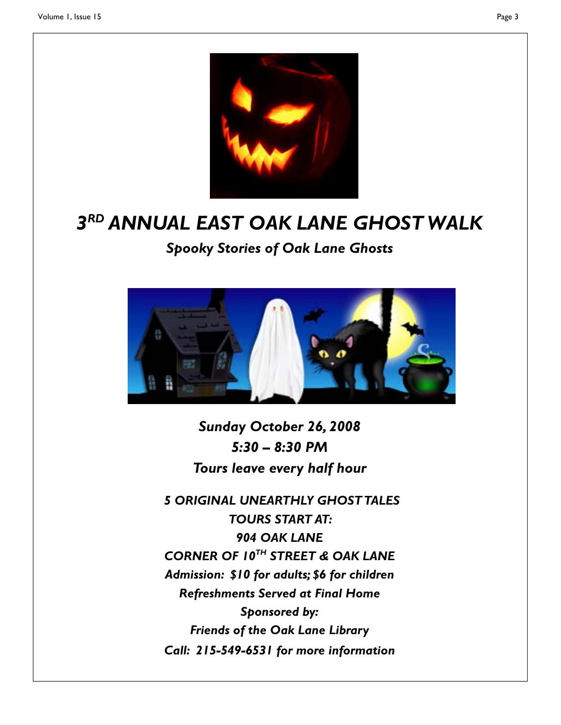

# *3RD ANNUAL EAST OAK LANE GHOST WALK*

*Spooky Stories of Oak Lane Ghosts* 



*Sunday October 26, 2008 5:30 – 8:30 PM Tours leave every half hour* 

*5 ORIGINAL UNEARTHLY GHOST TALES TOURS START AT: 904 OAK LANE CORNER OF 10TH STREET & OAK LANE Admission: \$10 for adults; \$6 for children Refreshments Served at Final Home Sponsored by: Friends of the Oak Lane Library Call: 215-549-6531 for more information*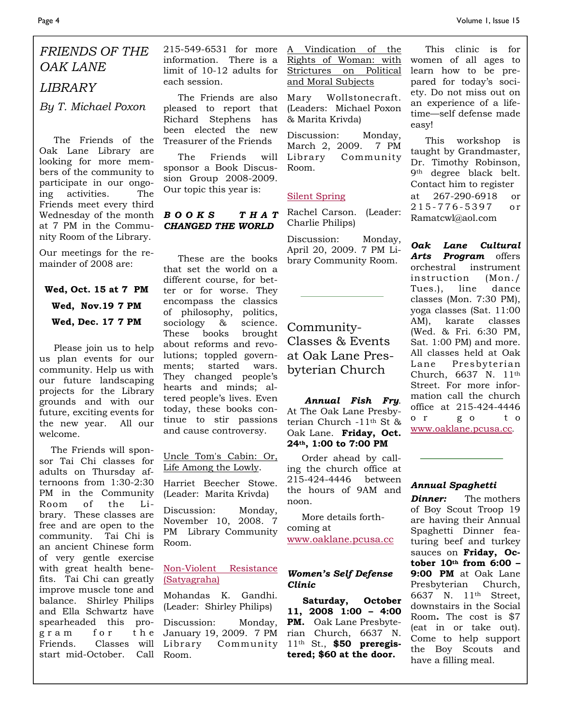# *FRIENDS OF THE OAK LANE LIBRARY*

*By T. Michael Poxon* 

 The Friends of the Oak Lane Library are looking for more members of the community to participate in our ongoing activities. The Friends meet every third Wednesday of the month at 7 PM in the Community Room of the Library.

Our meetings for the remainder of 2008 are:

## **Wed, Oct. 15 at 7 PM Wed, Nov.19 7 PM Wed, Dec. 17 7 PM**

 Please join us to help us plan events for our community. Help us with our future landscaping projects for the Library grounds and with our future, exciting events for the new year. All our welcome.

 The Friends will sponsor Tai Chi classes for adults on Thursday afternoons from 1:30-2:30 PM in the Community Room of the Library. These classes are free and are open to the community. Tai Chi is an ancient Chinese form of very gentle exercise with great health benefits. Tai Chi can greatly improve muscle tone and balance. Shirley Philips and Ella Schwartz have spearheaded this program for the Friends. Classes will start mid-October. Call

215-549-6531 for more information. There is a limit of 10-12 adults for each session.

 The Friends are also pleased to report that Richard Stephens has been elected the new Treasurer of the Friends

 The Friends will sponsor a Book Discussion Group 2008-2009. Our topic this year is:

#### *B O O K S T H A T CHANGED THE WORLD*

 These are the books that set the world on a different course, for better or for worse. They encompass the classics of philosophy, politics, sociology & science. These books brought about reforms and revolutions; toppled governments; started wars. They changed people's hearts and minds; altered people's lives. Even today, these books continue to stir passions and cause controversy.

Uncle Tom's Cabin: Or, Life Among the Lowly.

Harriet Beecher Stowe. (Leader: Marita Krivda)

Discussion: Monday, November 10, 2008. 7 PM Library Community Room.

#### Non-Violent Resistance (Satyagraha)

Mohandas K. Gandhi. (Leader: Shirley Philips)

Discussion: Monday, January 19, 2009. 7 PM Library Community Room.

A Vindication of the Rights of Woman: with Strictures on Political and Moral Subjects

Mary Wollstonecraft. (Leaders: Michael Poxon & Marita Krivda)

Discussion: Monday, March 2, 2009. 7 PM Library Community Room.

#### Silent Spring

Rachel Carson. (Leader: Charlie Philips)

Discussion: Monday, April 20, 2009. 7 PM Library Community Room.

Community-Classes & Events at Oak Lane Presbyterian Church

#### *Annual Fish Fry*. At The Oak Lane Presbyterian Church -11th St & Oak Lane. **Friday, Oct. 24th, 1:00 to 7:00 PM**

 Order ahead by calling the church office at 215-424-4446 between the hours of 9AM and noon.

 More details forthcoming at www.oaklane.pcusa.cc

#### *Women's Self Defense Clinic*

 **Saturday, October 11, 2008 1:00 – 4:00 PM.** Oak Lane Presbyterian Church, 6637 N. 11th St., **\$50 preregistered; \$60 at the door.** 

 This clinic is for women of all ages to learn how to be prepared for today's society. Do not miss out on an experience of a lifetime—self defense made easy!

 This workshop is taught by Grandmaster, Dr. Timothy Robinson, 9th degree black belt. Contact him to register at 267-290-6918 or 215-776-5397 or Ramatcwl@aol.com

*Oak Lane Cultural Arts Program* offers orchestral instrument instruction (Mon./ Tues.), line dance classes (Mon. 7:30 PM), yoga classes (Sat. 11:00 AM), karate classes (Wed. & Fri. 6:30 PM, Sat. 1:00 PM) and more. All classes held at Oak Lane Presbyterian Church, 6637 N. 11th Street. For more information call the church office at 215-424-4446 o r g o t o www.oaklane.pcusa.cc.

#### *Annual Spaghetti*

*Dinner:* The mothers of Boy Scout Troop 19 are having their Annual Spaghetti Dinner featuring beef and turkey sauces on **Friday, October 10th from 6:00 – 9:00 PM** at Oak Lane Presbyterian Church, 6637 N. 11th Street, downstairs in the Social Room**.** The cost is \$7 (eat in or take out). Come to help support the Boy Scouts and have a filling meal.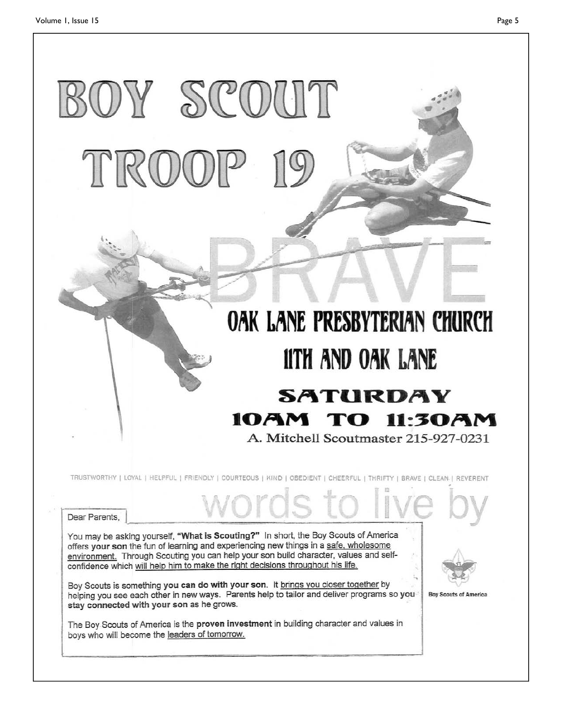# OY SCOUT

# OAK LANE PRESBYTERIAN CHURCH **11TH AND OAK LANE SATURDAY** 10AM TO 11:30AM A. Mitchell Scoutmaster 215-927-0231

TRUSTWORTHY | LOYAL | HELPFUL | FRIENDLY | COURTEOUS | KIND | OBEDIENT | CHEERFUL | THRIFTY | BRAVE | CLEAN | REVERENT

ords to

Dear Parents,

You may be asking yourself, "What is Scouting?" In short, the Boy Scouts of America offers your son the fun of learning and experiencing new things in a safe, wholesome environment. Through Scouting you can help your son build character, values and selfconfidence which will help him to make the right decisions throughout his life.

Boy Scouts is something you can do with your son. It brings you closer together by helping you see each other in new ways. Parents help to tailor and deliver programs so you stay connected with your son as he grows.

The Boy Scouts of America is the proven investment in building character and values in boys who will become the leaders of tomorrow.

**Boy Scouts of America**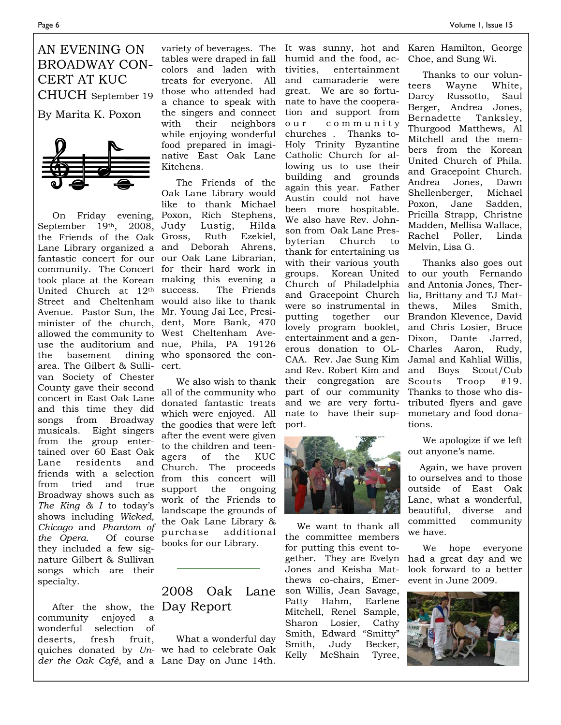## AN EVENING ON BROADWAY CON-CERT AT KUC CHUCH September 19

By Marita K. Poxon



September 19th, 2008, Judy the Friends of the Oak Lane Library organized a and Deborah Ahrens, fantastic concert for our our Oak Lane Librarian, community. The Concert for their hard work in took place at the Korean making this evening a United Church at  $12<sup>th</sup>$  success. Street and Cheltenham would also like to thank Avenue. Pastor Sun, the Mr. Young Jai Lee, Presiminister of the church, dent, More Bank, 470 allowed the community to West Cheltenham Aveuse the auditorium and nue, Phila, PA 19126 the basement area. The Gilbert & Sulli-cert. van Society of Chester County gave their second concert in East Oak Lane and this time they did songs from Broadway musicals. Eight singers from the group entertained over 60 East Oak Lane residents and friends with a selection from tried and true Broadway shows such as *The King & I* to today's shows including *Wicked, Chicago* and *Phantom of the Opera*. Of course they included a few signature Gilbert & Sullivan songs which are their specialty.

 After the show, the Day Report community enjoyed a wonderful selection of deserts, fresh fruit,

tables were draped in fall colors and laden with treats for everyone. All those who attended had a chance to speak with the singers and connect with their neighbors while enjoying wonderful food prepared in imaginative East Oak Lane Kitchens.

 On Friday evening, Poxon, Rich Stephens, The Friends of the Oak Lane Library would like to thank Michael Lustig, Hilda Ruth Ezekiel. The Friends dining who sponsored the con-

> We also wish to thank all of the community who donated fantastic treats which were enjoyed. All the goodies that were left after the event were given to the children and teenagers of the KUC Church. The proceeds from this concert will support the ongoing work of the Friends to landscape the grounds of the Oak Lane Library & purchase additional books for our Library.

# 2008 Oak Lane

quiches donated by *Un-*we had to celebrate Oak *der the Oak Café*, and a Lane Day on June 14th. What a wonderful day

variety of beverages. The It was sunny, hot and Karen Hamilton, George humid and the food, activities, entertainment and camaraderie were great. We are so fortunate to have the cooperation and support from o u r c o m m u n i t y churches . Thanks to-Holy Trinity Byzantine Catholic Church for allowing us to use their building and grounds again this year. Father Austin could not have been more hospitable. We also have Rev. Johnson from Oak Lane Presbyterian Church to thank for entertaining us with their various youth groups. Korean United Church of Philadelphia and Gracepoint Church lia, Brittany and TJ Matwere so instrumental in thews, Miles Smith, putting together lovely program booklet, and Chris Losier, Bruce entertainment and a gen-Dixon, Dante Jarred, erous donation to OL-Charles Aaron, Rudy, CAA. Rev. Jae Sung Kim Jamal and Kahlial Willis, and Rev. Robert Kim and and Boys Scout/Cub their congregation are Scouts Troop #19. part of our community Thanks to those who disand we are very fortu-tributed flyers and gave nate to have their sup-monetary and food donaport.



 We want to thank all the committee members for putting this event together. They are Evelyn Jones and Keisha Matthews co-chairs, Emerson Willis, Jean Savage, Patty Hahm, Earlene Mitchell, Renel Sample, Sharon Losier, Cathy Smith, Edward "Smitty" Smith, Judy Becker, Kelly McShain Tyree,

Choe, and Sung Wi.

 Thanks to our volunteers Wayne White, Darcy Russotto, Saul Berger, Andrea Jones, Bernadette Tanksley, Thurgood Matthews, Al Mitchell and the members from the Korean United Church of Phila. and Gracepoint Church. Andrea Jones, Dawn Shellenberger, Michael Poxon, Jane Sadden, Pricilla Strapp, Christne Madden, Mellisa Wallace, Rachel Poller, Linda Melvin, Lisa G.

 Thanks also goes out to our youth Fernando and Antonia Jones, Therour Brandon Klevence, David tions.

> We apologize if we left out anyone's name.

 Again, we have proven to ourselves and to those outside of East Oak Lane, what a wonderful, beautiful, diverse and committed community we have.

 We hope everyone had a great day and we look forward to a better event in June 2009.

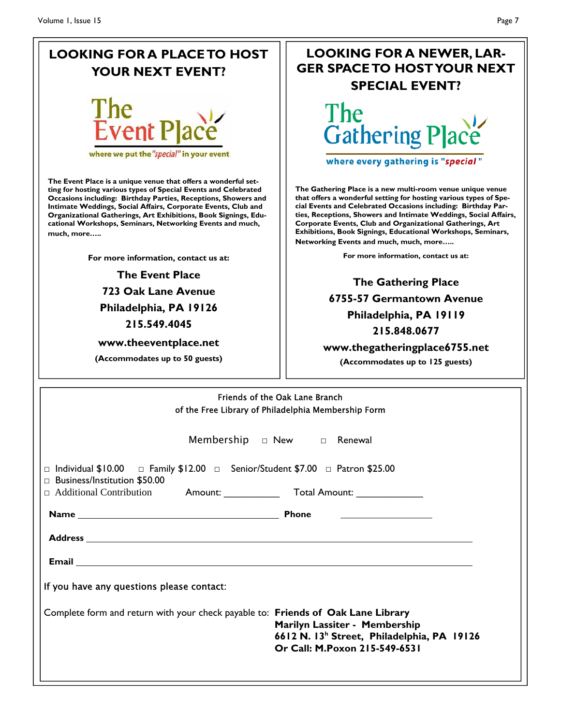# **LOOKING FOR A PLACE TO HOST YOUR NEXT EVENT?**



where we put the "special" in your event

**The Event Place is a unique venue that offers a wonderful setting for hosting various types of Special Events and Celebrated Occasions including: Birthday Parties, Receptions, Showers and Intimate Weddings, Social Affairs, Corporate Events, Club and Organizational Gatherings, Art Exhibitions, Book Signings, Educational Workshops, Seminars, Networking Events and much, much, more…..** 

**For more information, contact us at:** 

## **The Event Place 723 Oak Lane Avenue Philadelphia, PA 19126 215.549.4045**

**www.theeventplace.net** 

**(Accommodates up to 50 guests)** 

# **LOOKING FOR A NEWER, LAR-GER SPACE TO HOST YOUR NEXT SPECIAL EVENT?**



where every gathering is "special"

**The Gathering Place is a new multi-room venue unique venue that offers a wonderful setting for hosting various types of Special Events and Celebrated Occasions including: Birthday Parties, Receptions, Showers and Intimate Weddings, Social Affairs, Corporate Events, Club and Organizational Gatherings, Art Exhibitions, Book Signings, Educational Workshops, Seminars, Networking Events and much, much, more…..** 

**For more information, contact us at:** 

**The Gathering Place 6755-57 Germantown Avenue Philadelphia, PA 19119 215.848.0677 www.thegatheringplace6755.net** 

**(Accommodates up to 125 guests)** 

| <b>Friends of the Oak Lane Branch</b><br>of the Free Library of Philadelphia Membership Form                                              |                                                                                                                          |  |  |
|-------------------------------------------------------------------------------------------------------------------------------------------|--------------------------------------------------------------------------------------------------------------------------|--|--|
|                                                                                                                                           | Membership $\Box$ New $\Box$ Renewal                                                                                     |  |  |
| $\Box$ Individual \$10.00 $\Box$ Family \$12.00 $\Box$ Senior/Student \$7.00 $\Box$ Patron \$25.00<br>$\Box$ Business/Institution \$50.00 |                                                                                                                          |  |  |
|                                                                                                                                           |                                                                                                                          |  |  |
|                                                                                                                                           |                                                                                                                          |  |  |
|                                                                                                                                           |                                                                                                                          |  |  |
|                                                                                                                                           |                                                                                                                          |  |  |
| If you have any questions please contact:                                                                                                 |                                                                                                                          |  |  |
| Complete form and return with your check payable to: Friends of Oak Lane Library                                                          | Marilyn Lassiter - Membership<br>6612 N. 13 <sup>h</sup> Street, Philadelphia, PA 19126<br>Or Call: M.Poxon 215-549-6531 |  |  |